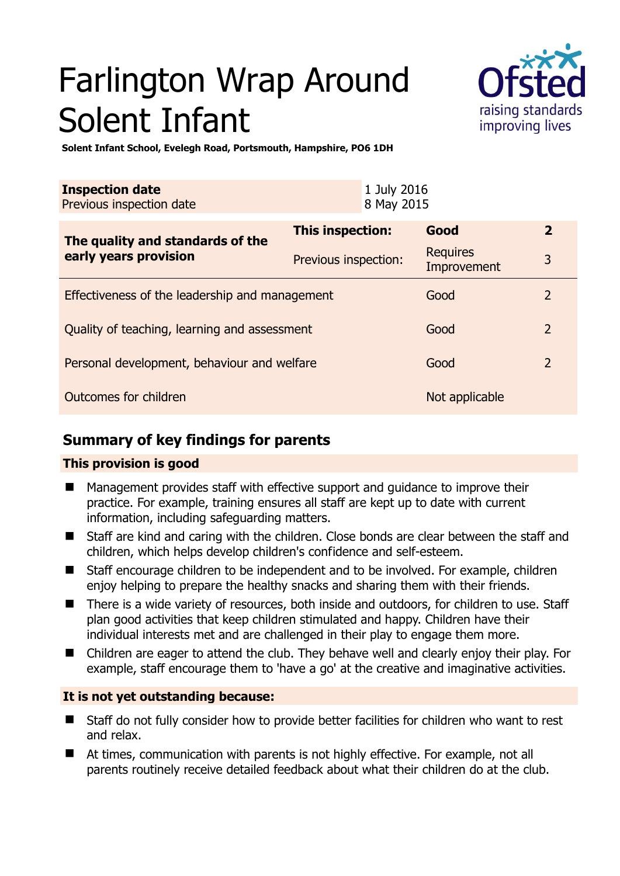# Farlington Wrap Around Solent Infant



**Solent Infant School, Evelegh Road, Portsmouth, Hampshire, PO6 1DH** 

| <b>Inspection date</b><br>Previous inspection date        |                      | 1 July 2016<br>8 May 2015 |                                |                |
|-----------------------------------------------------------|----------------------|---------------------------|--------------------------------|----------------|
| The quality and standards of the<br>early years provision | This inspection:     |                           | Good                           | $\mathbf{2}$   |
|                                                           | Previous inspection: |                           | <b>Requires</b><br>Improvement | 3              |
| Effectiveness of the leadership and management            |                      |                           | Good                           | 2              |
| Quality of teaching, learning and assessment              |                      |                           | Good                           | $\overline{2}$ |
| Personal development, behaviour and welfare               |                      |                           | Good                           | $\overline{2}$ |
| <b>Outcomes for children</b>                              |                      |                           | Not applicable                 |                |

# **Summary of key findings for parents**

## **This provision is good**

- Management provides staff with effective support and guidance to improve their practice. For example, training ensures all staff are kept up to date with current information, including safeguarding matters.
- Staff are kind and caring with the children. Close bonds are clear between the staff and children, which helps develop children's confidence and self-esteem.
- Staff encourage children to be independent and to be involved. For example, children enjoy helping to prepare the healthy snacks and sharing them with their friends.
- There is a wide variety of resources, both inside and outdoors, for children to use. Staff plan good activities that keep children stimulated and happy. Children have their individual interests met and are challenged in their play to engage them more.
- Children are eager to attend the club. They behave well and clearly enjoy their play. For example, staff encourage them to 'have a go' at the creative and imaginative activities.

## **It is not yet outstanding because:**

- Staff do not fully consider how to provide better facilities for children who want to rest and relax.
- At times, communication with parents is not highly effective. For example, not all parents routinely receive detailed feedback about what their children do at the club.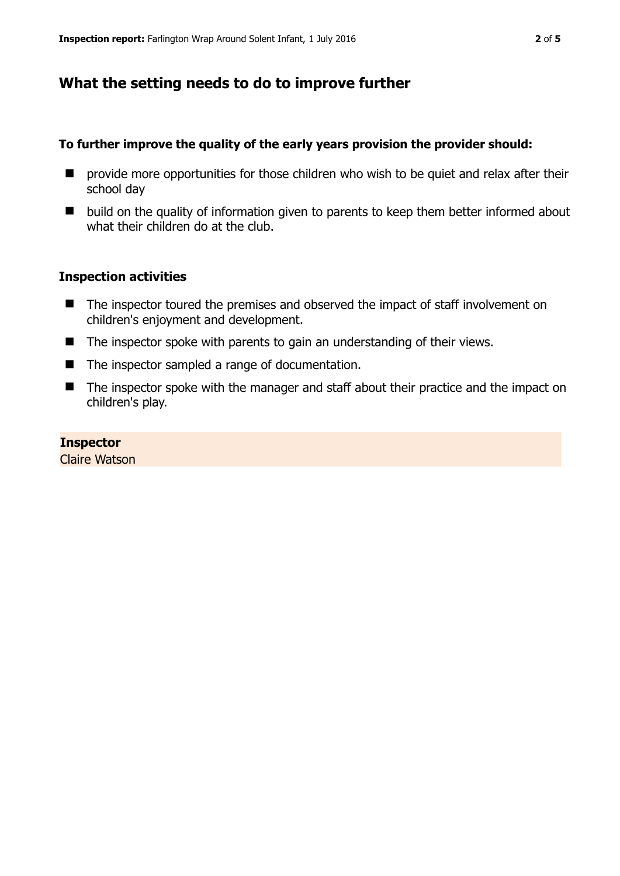# **What the setting needs to do to improve further**

## **To further improve the quality of the early years provision the provider should:**

- **P** provide more opportunities for those children who wish to be quiet and relax after their school day
- $\blacksquare$  build on the quality of information given to parents to keep them better informed about what their children do at the club.

#### **Inspection activities**

- The inspector toured the premises and observed the impact of staff involvement on children's enjoyment and development.
- The inspector spoke with parents to gain an understanding of their views.
- The inspector sampled a range of documentation.
- The inspector spoke with the manager and staff about their practice and the impact on children's play.

#### **Inspector**

Claire Watson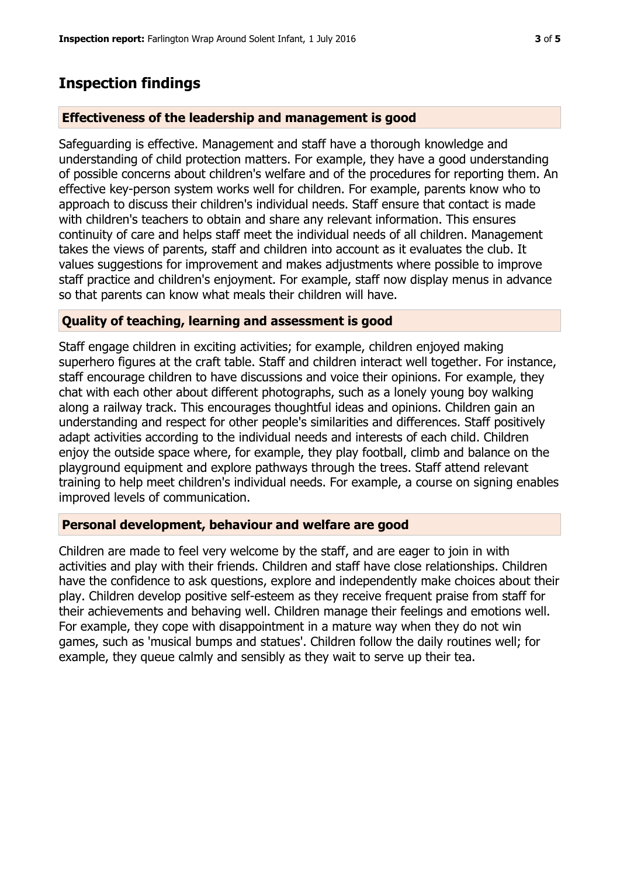# **Inspection findings**

## **Effectiveness of the leadership and management is good**

Safeguarding is effective. Management and staff have a thorough knowledge and understanding of child protection matters. For example, they have a good understanding of possible concerns about children's welfare and of the procedures for reporting them. An effective key-person system works well for children. For example, parents know who to approach to discuss their children's individual needs. Staff ensure that contact is made with children's teachers to obtain and share any relevant information. This ensures continuity of care and helps staff meet the individual needs of all children. Management takes the views of parents, staff and children into account as it evaluates the club. It values suggestions for improvement and makes adjustments where possible to improve staff practice and children's enjoyment. For example, staff now display menus in advance so that parents can know what meals their children will have.

#### **Quality of teaching, learning and assessment is good**

Staff engage children in exciting activities; for example, children enjoyed making superhero figures at the craft table. Staff and children interact well together. For instance, staff encourage children to have discussions and voice their opinions. For example, they chat with each other about different photographs, such as a lonely young boy walking along a railway track. This encourages thoughtful ideas and opinions. Children gain an understanding and respect for other people's similarities and differences. Staff positively adapt activities according to the individual needs and interests of each child. Children enjoy the outside space where, for example, they play football, climb and balance on the playground equipment and explore pathways through the trees. Staff attend relevant training to help meet children's individual needs. For example, a course on signing enables improved levels of communication.

#### **Personal development, behaviour and welfare are good**

Children are made to feel very welcome by the staff, and are eager to join in with activities and play with their friends. Children and staff have close relationships. Children have the confidence to ask questions, explore and independently make choices about their play. Children develop positive self-esteem as they receive frequent praise from staff for their achievements and behaving well. Children manage their feelings and emotions well. For example, they cope with disappointment in a mature way when they do not win games, such as 'musical bumps and statues'. Children follow the daily routines well; for example, they queue calmly and sensibly as they wait to serve up their tea.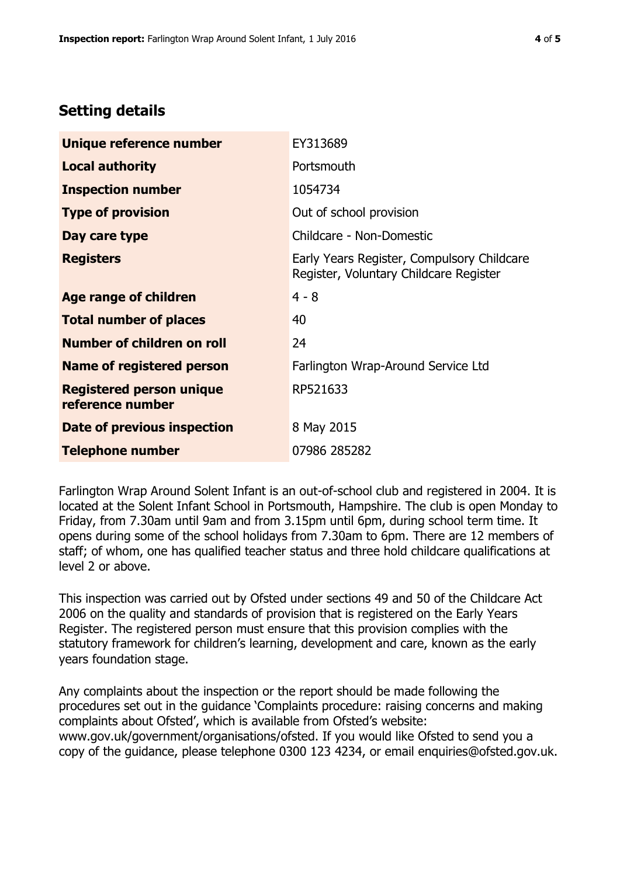# **Setting details**

| Unique reference number                             | EY313689                                                                             |  |
|-----------------------------------------------------|--------------------------------------------------------------------------------------|--|
| <b>Local authority</b>                              | Portsmouth                                                                           |  |
| <b>Inspection number</b>                            | 1054734                                                                              |  |
| <b>Type of provision</b>                            | Out of school provision                                                              |  |
| Day care type                                       | Childcare - Non-Domestic                                                             |  |
| <b>Registers</b>                                    | Early Years Register, Compulsory Childcare<br>Register, Voluntary Childcare Register |  |
| <b>Age range of children</b>                        | $4 - 8$                                                                              |  |
| <b>Total number of places</b>                       | 40                                                                                   |  |
| Number of children on roll                          | 24                                                                                   |  |
| <b>Name of registered person</b>                    | Farlington Wrap-Around Service Ltd                                                   |  |
| <b>Registered person unique</b><br>reference number | RP521633                                                                             |  |
| Date of previous inspection                         | 8 May 2015                                                                           |  |
| <b>Telephone number</b>                             | 07986 285282                                                                         |  |

Farlington Wrap Around Solent Infant is an out-of-school club and registered in 2004. It is located at the Solent Infant School in Portsmouth, Hampshire. The club is open Monday to Friday, from 7.30am until 9am and from 3.15pm until 6pm, during school term time. It opens during some of the school holidays from 7.30am to 6pm. There are 12 members of staff; of whom, one has qualified teacher status and three hold childcare qualifications at level 2 or above.

This inspection was carried out by Ofsted under sections 49 and 50 of the Childcare Act 2006 on the quality and standards of provision that is registered on the Early Years Register. The registered person must ensure that this provision complies with the statutory framework for children's learning, development and care, known as the early years foundation stage.

Any complaints about the inspection or the report should be made following the procedures set out in the guidance 'Complaints procedure: raising concerns and making complaints about Ofsted', which is available from Ofsted's website: www.gov.uk/government/organisations/ofsted. If you would like Ofsted to send you a copy of the guidance, please telephone 0300 123 4234, or email enquiries@ofsted.gov.uk.